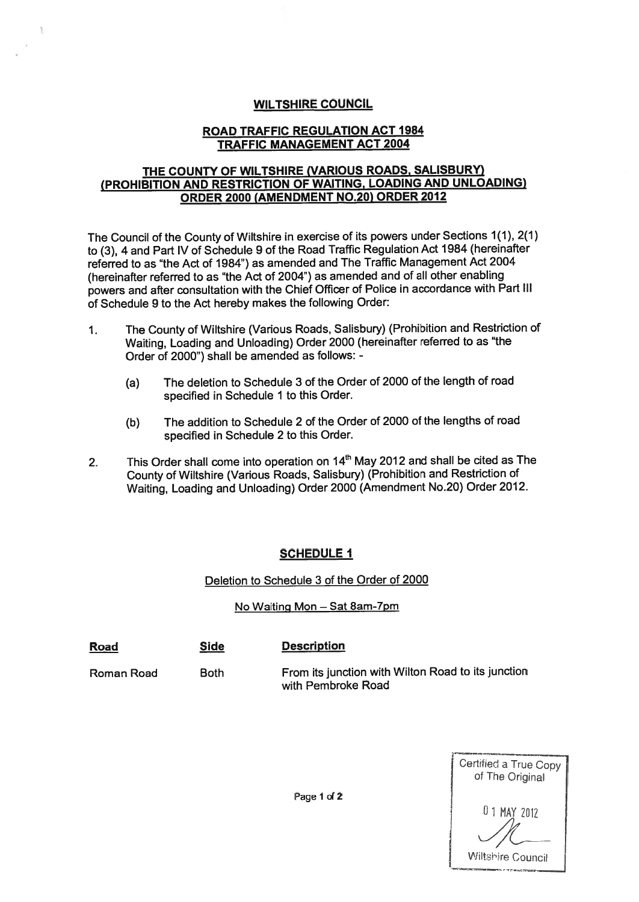## WILTSHIRE COUNCIL

#### ROAD TRAFFIC REGULATION ACT 1984 TRAFFIC MANAGEMENT ACT 2004

#### THE COUNTY OF WILTSHIRE (VARIOUS ROADS, SALISBURY) (PROHIBITION AND RESTRICTION OF WAITING, LOADING AND UNLOADING) ORDER 2000 (AMENDMENT NO.20) ORDER 2012

The Council of the County of Wiltshire in exercise of its powers under Sections 1(1), 2(1) to (3), <sup>4</sup> and Part IV of Schedule <sup>9</sup> of the Road Traffic Regulation Act <sup>1984</sup> (hereinafter referred to as "the Act of 1984") as amended and The Traffic Management Act 2004 (hereinafter referred to as "the Act of 2004") as amended and of all other enabling powers and after consultation with the Chief Officer of Police in accordance with Part III of Schedule 9 to the Act hereby makes the following Order:

- 1. The County of Wiltshire (Various Roads, Salisbury) (Prohibition and Restriction of Waiting, Loading and Unloading) Order <sup>2000</sup> (hereinafter referred to as "the Order of 2000") shall be amended as follows: -
	- (a) The deletion to Schedule <sup>3</sup> of the Order of <sup>2000</sup> of the length of road specified in Schedule 1 to this Order.
	- (b) The addition to Schedule <sup>2</sup> of the Order of <sup>2000</sup> of the lengths of road specified in Schedule <sup>2</sup> to this Order.
- 2. This Order shall come into operation on  $14<sup>th</sup>$  May 2012 and shall be cited as The County of Wiltshire (Various Roads, Salisbury) (Prohibition and Restriction of Waiting, Loading and Unloading) Order <sup>2000</sup> (Amendment No.20) Order 2012.

## **SCHEDULE 1**

Deletion to Schedule 3 of the Order of 2000

## No Waiting Mon — Sat 8am-7pm

| <u>Road</u> | <b>Side</b> | <b>Description</b>                                                       |
|-------------|-------------|--------------------------------------------------------------------------|
| Roman Road  | <b>Both</b> | From its junction with Wilton Road to its junction<br>with Pembroke Road |



Page 1 of 2